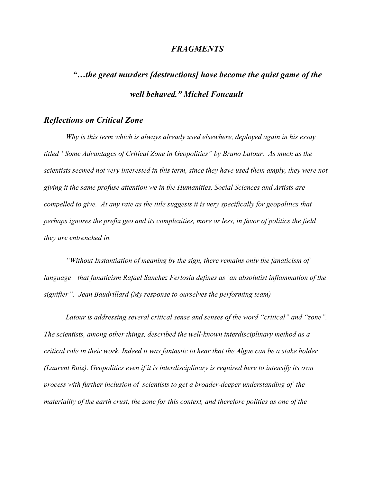#### *FRAGMENTS*

# *"…the great murders [destructions] have become the quiet game of the well behaved." Michel Foucault*

### *Reflections on Critical Zone*

*Why is this term which is always already used elsewhere, deployed again in his essay titled "Some Advantages of Critical Zone in Geopolitics" by Bruno Latour. As much as the scientists seemed not very interested in this term, since they have used them amply, they were not giving it the same profuse attention we in the Humanities, Social Sciences and Artists are compelled to give. At any rate as the title suggests it is very specifically for geopolitics that perhaps ignores the prefix geo and its complexities, more or less, in favor of politics the field they are entrenched in.* 

*"Without Instantiation of meaning by the sign, there remains only the fanaticism of language—that fanaticism Rafael Sanchez Ferlosia defines as 'an absolutist inflammation of the signifier''. Jean Baudrillard (My response to ourselves the performing team)*

*Latour is addressing several critical sense and senses of the word "critical" and "zone". The scientists, among other things, described the well-known interdisciplinary method as a critical role in their work. Indeed it was fantastic to hear that the Algae can be a stake holder (Laurent Ruiz). Geopolitics even if it is interdisciplinary is required here to intensify its own process with further inclusion of scientists to get a broader-deeper understanding of the materiality of the earth crust, the zone for this context, and therefore politics as one of the*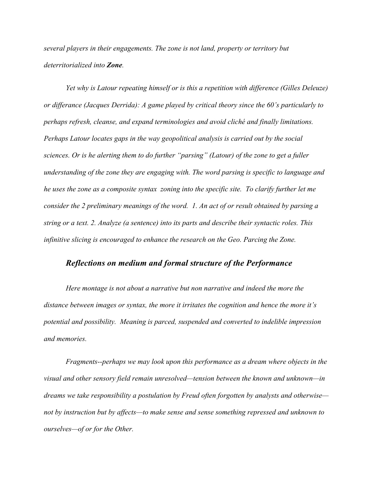*several players in their engagements. The zone is not land, property or territory but deterritorialized into Zone.* 

*Yet why is Latour repeating himself or is this a repetition with difference (Gilles Deleuze) or differance (Jacques Derrida): A game played by critical theory since the 60's particularly to perhaps refresh, cleanse, and expand terminologies and avoid cliché and finally limitations. Perhaps Latour locates gaps in the way geopolitical analysis is carried out by the social sciences. Or is he alerting them to do further "parsing" (Latour) of the zone to get a fuller understanding of the zone they are engaging with. The word parsing is specific to language and he uses the zone as a composite syntax zoning into the specific site. To clarify further let me consider the 2 preliminary meanings of the word. 1. An act of or result obtained by parsing a string or a text. 2. Analyze (a sentence) into its parts and describe their syntactic roles. This infinitive slicing is encouraged to enhance the research on the Geo. Parcing the Zone.*

## *Reflections on medium and formal structure of the Performance*

*Here montage is not about a narrative but non narrative and indeed the more the distance between images or syntax, the more it irritates the cognition and hence the more it's potential and possibility. Meaning is parced, suspended and converted to indelible impression and memories.* 

*Fragments--perhaps we may look upon this performance as a dream where objects in the visual and other sensory field remain unresolved—tension between the known and unknown—in dreams we take responsibility a postulation by Freud often forgotten by analysts and otherwise not by instruction but by affects—to make sense and sense something repressed and unknown to ourselves—of or for the Other.*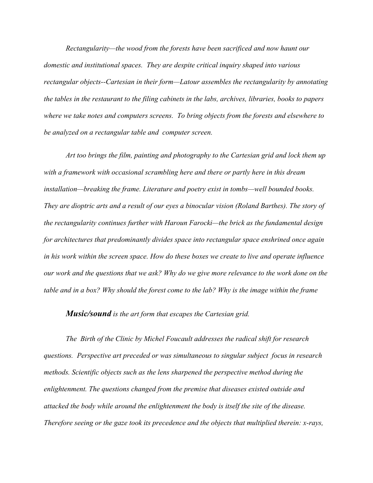*Rectangularity—the wood from the forests have been sacrificed and now haunt our domestic and institutional spaces. They are despite critical inquiry shaped into various rectangular objects--Cartesian in their form—Latour assembles the rectangularity by annotating the tables in the restaurant to the filing cabinets in the labs, archives, libraries, books to papers where we take notes and computers screens. To bring objects from the forests and elsewhere to be analyzed on a rectangular table and computer screen.*

*Art too brings the film, painting and photography to the Cartesian grid and lock them up with a framework with occasional scrambling here and there or partly here in this dream installation—breaking the frame. Literature and poetry exist in tombs—well bounded books. They are dioptric arts and a result of our eyes a binocular vision (Roland Barthes). The story of the rectangularity continues further with Haroun Farocki—the brick as the fundamental design for architectures that predominantly divides space into rectangular space enshrined once again in his work within the screen space. How do these boxes we create to live and operate influence our work and the questions that we ask? Why do we give more relevance to the work done on the table and in a box? Why should the forest come to the lab? Why is the image within the frame*

#### *Music/sound is the art form that escapes the Cartesian grid.*

*The Birth of the Clinic by Michel Foucault addresses the radical shift for research questions. Perspective art preceded or was simultaneous to singular subject focus in research methods. Scientific objects such as the lens sharpened the perspective method during the enlightenment. The questions changed from the premise that diseases existed outside and attacked the body while around the enlightenment the body is itself the site of the disease. Therefore seeing or the gaze took its precedence and the objects that multiplied therein: x-rays,*